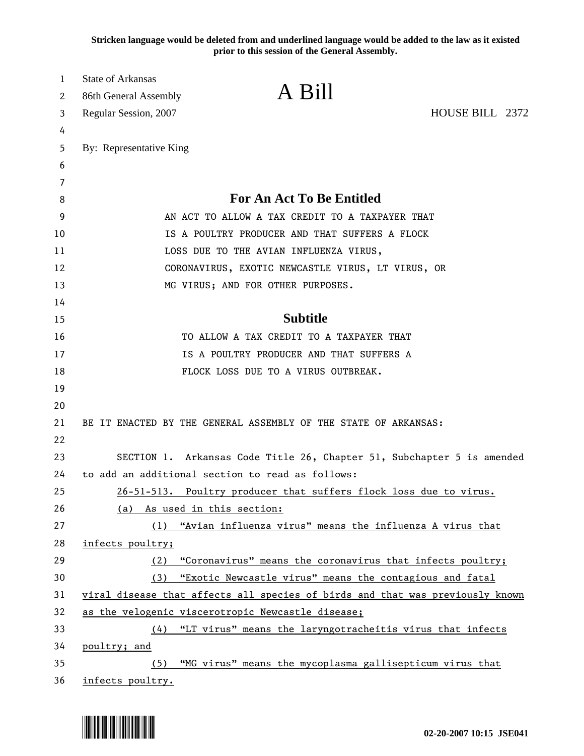**Stricken language would be deleted from and underlined language would be added to the law as it existed prior to this session of the General Assembly.**

| 1      | <b>State of Arkansas</b>                                                      | A Bill                                                                 |                 |
|--------|-------------------------------------------------------------------------------|------------------------------------------------------------------------|-----------------|
| 2      | 86th General Assembly                                                         |                                                                        |                 |
| 3      | Regular Session, 2007                                                         |                                                                        | HOUSE BILL 2372 |
| 4      |                                                                               |                                                                        |                 |
| 5<br>6 | By: Representative King                                                       |                                                                        |                 |
| 7      |                                                                               |                                                                        |                 |
| 8      |                                                                               | <b>For An Act To Be Entitled</b>                                       |                 |
| 9      | AN ACT TO ALLOW A TAX CREDIT TO A TAXPAYER THAT                               |                                                                        |                 |
| 10     | IS A POULTRY PRODUCER AND THAT SUFFERS A FLOCK                                |                                                                        |                 |
| 11     | LOSS DUE TO THE AVIAN INFLUENZA VIRUS,                                        |                                                                        |                 |
| 12     | CORONAVIRUS, EXOTIC NEWCASTLE VIRUS, LT VIRUS, OR                             |                                                                        |                 |
| 13     | MG VIRUS; AND FOR OTHER PURPOSES.                                             |                                                                        |                 |
| 14     |                                                                               |                                                                        |                 |
| 15     |                                                                               | <b>Subtitle</b>                                                        |                 |
| 16     |                                                                               | TO ALLOW A TAX CREDIT TO A TAXPAYER THAT                               |                 |
| 17     | IS A POULTRY PRODUCER AND THAT SUFFERS A                                      |                                                                        |                 |
| 18     |                                                                               | FLOCK LOSS DUE TO A VIRUS OUTBREAK.                                    |                 |
| 19     |                                                                               |                                                                        |                 |
| 20     |                                                                               |                                                                        |                 |
| 21     |                                                                               | BE IT ENACTED BY THE GENERAL ASSEMBLY OF THE STATE OF ARKANSAS:        |                 |
| 22     |                                                                               |                                                                        |                 |
| 23     |                                                                               | SECTION 1. Arkansas Code Title 26, Chapter 51, Subchapter 5 is amended |                 |
| 24     | to add an additional section to read as follows:                              |                                                                        |                 |
| 25     |                                                                               | 26-51-513. Poultry producer that suffers flock loss due to virus.      |                 |
| 26     | (a) As used in this section:                                                  |                                                                        |                 |
| 27     |                                                                               | (1) "Avian influenza virus" means the influenza A virus that           |                 |
| 28     | infects poultry;                                                              |                                                                        |                 |
| 29     | (2)                                                                           | "Coronavirus" means the coronavirus that infects poultry;              |                 |
| 30     | "Exotic Newcastle virus" means the contagious and fatal<br>(3)                |                                                                        |                 |
| 31     | viral disease that affects all species of birds and that was previously known |                                                                        |                 |
| 32     | as the velogenic viscerotropic Newcastle disease;                             |                                                                        |                 |
| 33     |                                                                               | (4) "LT virus" means the laryngotracheitis virus that infects          |                 |
| 34     | poultry; and                                                                  |                                                                        |                 |
| 35     | (5)                                                                           | "MG virus" means the mycoplasma gallisepticum virus that               |                 |
| 36     | infects poultry.                                                              |                                                                        |                 |